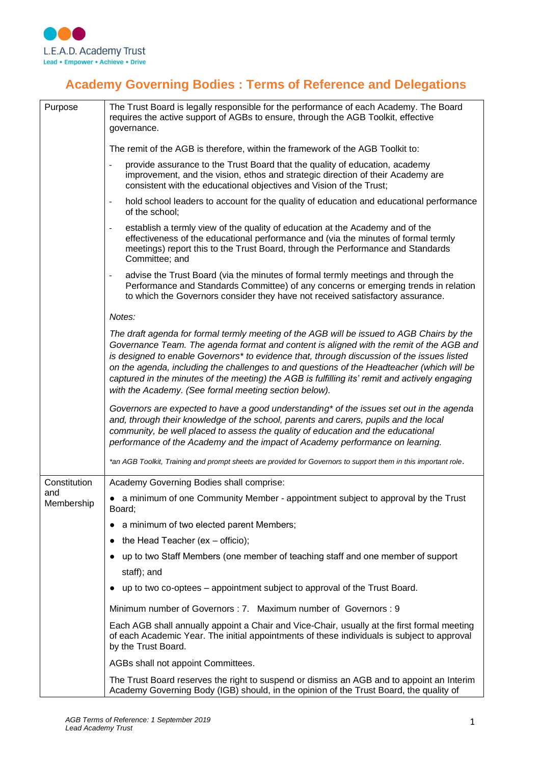

## **Academy Governing Bodies : Terms of Reference and Delegations**

| Purpose           | The Trust Board is legally responsible for the performance of each Academy. The Board<br>requires the active support of AGBs to ensure, through the AGB Toolkit, effective<br>governance.                                                                                                                                                                                                                                                                                                                                                   |
|-------------------|---------------------------------------------------------------------------------------------------------------------------------------------------------------------------------------------------------------------------------------------------------------------------------------------------------------------------------------------------------------------------------------------------------------------------------------------------------------------------------------------------------------------------------------------|
|                   | The remit of the AGB is therefore, within the framework of the AGB Toolkit to:                                                                                                                                                                                                                                                                                                                                                                                                                                                              |
|                   | provide assurance to the Trust Board that the quality of education, academy<br>$\overline{\phantom{a}}$<br>improvement, and the vision, ethos and strategic direction of their Academy are<br>consistent with the educational objectives and Vision of the Trust;                                                                                                                                                                                                                                                                           |
|                   | hold school leaders to account for the quality of education and educational performance<br>$\overline{\phantom{a}}$<br>of the school:                                                                                                                                                                                                                                                                                                                                                                                                       |
|                   | establish a termly view of the quality of education at the Academy and of the<br>$\overline{\phantom{a}}$<br>effectiveness of the educational performance and (via the minutes of formal termly<br>meetings) report this to the Trust Board, through the Performance and Standards<br>Committee; and                                                                                                                                                                                                                                        |
|                   | advise the Trust Board (via the minutes of formal termly meetings and through the<br>$\overline{\phantom{a}}$<br>Performance and Standards Committee) of any concerns or emerging trends in relation<br>to which the Governors consider they have not received satisfactory assurance.                                                                                                                                                                                                                                                      |
|                   | Notes:                                                                                                                                                                                                                                                                                                                                                                                                                                                                                                                                      |
|                   | The draft agenda for formal termly meeting of the AGB will be issued to AGB Chairs by the<br>Governance Team. The agenda format and content is aligned with the remit of the AGB and<br>is designed to enable Governors* to evidence that, through discussion of the issues listed<br>on the agenda, including the challenges to and questions of the Headteacher (which will be<br>captured in the minutes of the meeting) the AGB is fulfilling its' remit and actively engaging<br>with the Academy. (See formal meeting section below). |
|                   | Governors are expected to have a good understanding* of the issues set out in the agenda<br>and, through their knowledge of the school, parents and carers, pupils and the local<br>community, be well placed to assess the quality of education and the educational<br>performance of the Academy and the impact of Academy performance on learning.                                                                                                                                                                                       |
|                   | *an AGB Toolkit, Training and prompt sheets are provided for Governors to support them in this important role.                                                                                                                                                                                                                                                                                                                                                                                                                              |
| Constitution      | Academy Governing Bodies shall comprise:                                                                                                                                                                                                                                                                                                                                                                                                                                                                                                    |
| and<br>Membership | • a minimum of one Community Member - appointment subject to approval by the Trust<br>Board;                                                                                                                                                                                                                                                                                                                                                                                                                                                |
|                   | a minimum of two elected parent Members;                                                                                                                                                                                                                                                                                                                                                                                                                                                                                                    |
|                   | $\bullet$ the Head Teacher (ex - officio);                                                                                                                                                                                                                                                                                                                                                                                                                                                                                                  |
|                   | up to two Staff Members (one member of teaching staff and one member of support                                                                                                                                                                                                                                                                                                                                                                                                                                                             |
|                   | staff); and                                                                                                                                                                                                                                                                                                                                                                                                                                                                                                                                 |
|                   | up to two co-optees – appointment subject to approval of the Trust Board.                                                                                                                                                                                                                                                                                                                                                                                                                                                                   |
|                   | Minimum number of Governors: 7. Maximum number of Governors: 9                                                                                                                                                                                                                                                                                                                                                                                                                                                                              |
|                   | Each AGB shall annually appoint a Chair and Vice-Chair, usually at the first formal meeting<br>of each Academic Year. The initial appointments of these individuals is subject to approval<br>by the Trust Board.                                                                                                                                                                                                                                                                                                                           |
|                   | AGBs shall not appoint Committees.                                                                                                                                                                                                                                                                                                                                                                                                                                                                                                          |
|                   | The Trust Board reserves the right to suspend or dismiss an AGB and to appoint an Interim<br>Academy Governing Body (IGB) should, in the opinion of the Trust Board, the quality of                                                                                                                                                                                                                                                                                                                                                         |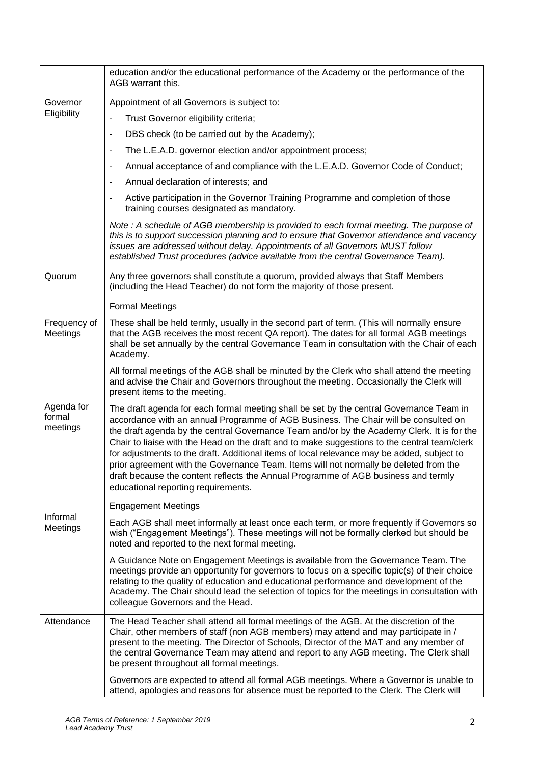|                                  | education and/or the educational performance of the Academy or the performance of the<br>AGB warrant this.                                                                                                                                                                                                                                                                                                                                                                                                                                                                                                                                                                                       |
|----------------------------------|--------------------------------------------------------------------------------------------------------------------------------------------------------------------------------------------------------------------------------------------------------------------------------------------------------------------------------------------------------------------------------------------------------------------------------------------------------------------------------------------------------------------------------------------------------------------------------------------------------------------------------------------------------------------------------------------------|
| Governor<br>Eligibility          | Appointment of all Governors is subject to:                                                                                                                                                                                                                                                                                                                                                                                                                                                                                                                                                                                                                                                      |
|                                  | Trust Governor eligibility criteria;<br>$\overline{\phantom{0}}$                                                                                                                                                                                                                                                                                                                                                                                                                                                                                                                                                                                                                                 |
|                                  | DBS check (to be carried out by the Academy);<br>$\blacksquare$                                                                                                                                                                                                                                                                                                                                                                                                                                                                                                                                                                                                                                  |
|                                  | The L.E.A.D. governor election and/or appointment process;<br>$\blacksquare$                                                                                                                                                                                                                                                                                                                                                                                                                                                                                                                                                                                                                     |
|                                  | Annual acceptance of and compliance with the L.E.A.D. Governor Code of Conduct;<br>$\overline{\phantom{a}}$                                                                                                                                                                                                                                                                                                                                                                                                                                                                                                                                                                                      |
|                                  | Annual declaration of interests; and<br>$\blacksquare$                                                                                                                                                                                                                                                                                                                                                                                                                                                                                                                                                                                                                                           |
|                                  | Active participation in the Governor Training Programme and completion of those<br>$\blacksquare$<br>training courses designated as mandatory.                                                                                                                                                                                                                                                                                                                                                                                                                                                                                                                                                   |
|                                  | Note: A schedule of AGB membership is provided to each formal meeting. The purpose of<br>this is to support succession planning and to ensure that Governor attendance and vacancy<br>issues are addressed without delay. Appointments of all Governors MUST follow<br>established Trust procedures (advice available from the central Governance Team).                                                                                                                                                                                                                                                                                                                                         |
| Quorum                           | Any three governors shall constitute a quorum, provided always that Staff Members<br>(including the Head Teacher) do not form the majority of those present.                                                                                                                                                                                                                                                                                                                                                                                                                                                                                                                                     |
|                                  | <b>Formal Meetings</b>                                                                                                                                                                                                                                                                                                                                                                                                                                                                                                                                                                                                                                                                           |
| Frequency of<br>Meetings         | These shall be held termly, usually in the second part of term. (This will normally ensure<br>that the AGB receives the most recent QA report). The dates for all formal AGB meetings<br>shall be set annually by the central Governance Team in consultation with the Chair of each<br>Academy.                                                                                                                                                                                                                                                                                                                                                                                                 |
|                                  | All formal meetings of the AGB shall be minuted by the Clerk who shall attend the meeting<br>and advise the Chair and Governors throughout the meeting. Occasionally the Clerk will<br>present items to the meeting.                                                                                                                                                                                                                                                                                                                                                                                                                                                                             |
| Agenda for<br>formal<br>meetings | The draft agenda for each formal meeting shall be set by the central Governance Team in<br>accordance with an annual Programme of AGB Business. The Chair will be consulted on<br>the draft agenda by the central Governance Team and/or by the Academy Clerk. It is for the<br>Chair to liaise with the Head on the draft and to make suggestions to the central team/clerk<br>for adjustments to the draft. Additional items of local relevance may be added, subject to<br>prior agreement with the Governance Team. Items will not normally be deleted from the<br>draft because the content reflects the Annual Programme of AGB business and termly<br>educational reporting requirements. |
|                                  | <b>Engagement Meetings</b>                                                                                                                                                                                                                                                                                                                                                                                                                                                                                                                                                                                                                                                                       |
| Informal<br>Meetings             | Each AGB shall meet informally at least once each term, or more frequently if Governors so<br>wish ("Engagement Meetings"). These meetings will not be formally clerked but should be<br>noted and reported to the next formal meeting.                                                                                                                                                                                                                                                                                                                                                                                                                                                          |
|                                  | A Guidance Note on Engagement Meetings is available from the Governance Team. The<br>meetings provide an opportunity for governors to focus on a specific topic(s) of their choice<br>relating to the quality of education and educational performance and development of the<br>Academy. The Chair should lead the selection of topics for the meetings in consultation with<br>colleague Governors and the Head.                                                                                                                                                                                                                                                                               |
| Attendance                       | The Head Teacher shall attend all formal meetings of the AGB. At the discretion of the<br>Chair, other members of staff (non AGB members) may attend and may participate in /<br>present to the meeting. The Director of Schools, Director of the MAT and any member of<br>the central Governance Team may attend and report to any AGB meeting. The Clerk shall<br>be present throughout all formal meetings.                                                                                                                                                                                                                                                                                   |
|                                  | Governors are expected to attend all formal AGB meetings. Where a Governor is unable to<br>attend, apologies and reasons for absence must be reported to the Clerk. The Clerk will                                                                                                                                                                                                                                                                                                                                                                                                                                                                                                               |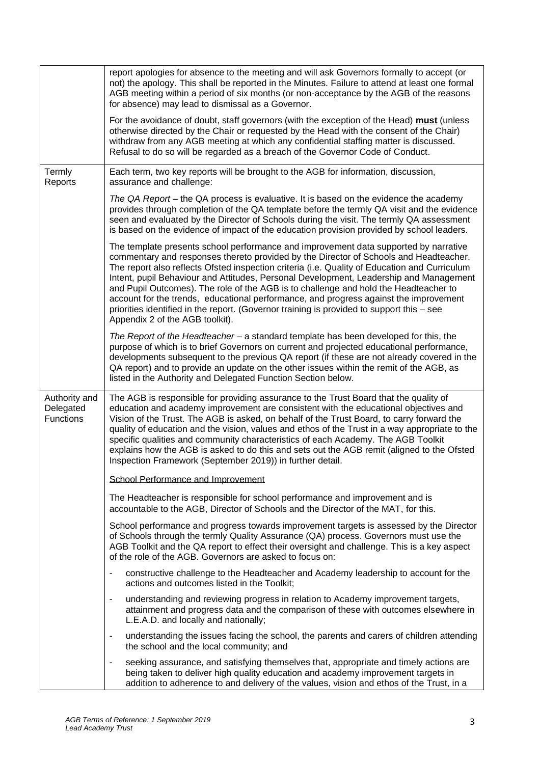|                                                | report apologies for absence to the meeting and will ask Governors formally to accept (or<br>not) the apology. This shall be reported in the Minutes. Failure to attend at least one formal<br>AGB meeting within a period of six months (or non-acceptance by the AGB of the reasons<br>for absence) may lead to dismissal as a Governor.                                                                                                                                                                                                                                                                                                                                                |
|------------------------------------------------|-------------------------------------------------------------------------------------------------------------------------------------------------------------------------------------------------------------------------------------------------------------------------------------------------------------------------------------------------------------------------------------------------------------------------------------------------------------------------------------------------------------------------------------------------------------------------------------------------------------------------------------------------------------------------------------------|
|                                                | For the avoidance of doubt, staff governors (with the exception of the Head) must (unless<br>otherwise directed by the Chair or requested by the Head with the consent of the Chair)<br>withdraw from any AGB meeting at which any confidential staffing matter is discussed.<br>Refusal to do so will be regarded as a breach of the Governor Code of Conduct.                                                                                                                                                                                                                                                                                                                           |
| Termly<br>Reports                              | Each term, two key reports will be brought to the AGB for information, discussion,<br>assurance and challenge:                                                                                                                                                                                                                                                                                                                                                                                                                                                                                                                                                                            |
|                                                | The QA Report – the QA process is evaluative. It is based on the evidence the academy<br>provides through completion of the QA template before the termly QA visit and the evidence<br>seen and evaluated by the Director of Schools during the visit. The termly QA assessment<br>is based on the evidence of impact of the education provision provided by school leaders.                                                                                                                                                                                                                                                                                                              |
|                                                | The template presents school performance and improvement data supported by narrative<br>commentary and responses thereto provided by the Director of Schools and Headteacher.<br>The report also reflects Ofsted inspection criteria (i.e. Quality of Education and Curriculum<br>Intent, pupil Behaviour and Attitudes, Personal Development, Leadership and Management<br>and Pupil Outcomes). The role of the AGB is to challenge and hold the Headteacher to<br>account for the trends, educational performance, and progress against the improvement<br>priorities identified in the report. (Governor training is provided to support this - see<br>Appendix 2 of the AGB toolkit). |
|                                                | The Report of the Headteacher – a standard template has been developed for this, the<br>purpose of which is to brief Governors on current and projected educational performance,<br>developments subsequent to the previous QA report (if these are not already covered in the<br>QA report) and to provide an update on the other issues within the remit of the AGB, as<br>listed in the Authority and Delegated Function Section below.                                                                                                                                                                                                                                                |
| Authority and<br>Delegated<br><b>Functions</b> | The AGB is responsible for providing assurance to the Trust Board that the quality of<br>education and academy improvement are consistent with the educational objectives and<br>Vision of the Trust. The AGB is asked, on behalf of the Trust Board, to carry forward the<br>quality of education and the vision, values and ethos of the Trust in a way appropriate to the<br>specific qualities and community characteristics of each Academy. The AGB Toolkit<br>explains how the AGB is asked to do this and sets out the AGB remit (aligned to the Ofsted<br>Inspection Framework (September 2019)) in further detail.                                                              |
|                                                | School Performance and Improvement                                                                                                                                                                                                                                                                                                                                                                                                                                                                                                                                                                                                                                                        |
|                                                | The Headteacher is responsible for school performance and improvement and is<br>accountable to the AGB, Director of Schools and the Director of the MAT, for this.                                                                                                                                                                                                                                                                                                                                                                                                                                                                                                                        |
|                                                | School performance and progress towards improvement targets is assessed by the Director<br>of Schools through the termly Quality Assurance (QA) process. Governors must use the<br>AGB Toolkit and the QA report to effect their oversight and challenge. This is a key aspect<br>of the role of the AGB. Governors are asked to focus on:                                                                                                                                                                                                                                                                                                                                                |
|                                                | constructive challenge to the Headteacher and Academy leadership to account for the<br>$\overline{\phantom{a}}$<br>actions and outcomes listed in the Toolkit;                                                                                                                                                                                                                                                                                                                                                                                                                                                                                                                            |
|                                                | understanding and reviewing progress in relation to Academy improvement targets,<br>$\blacksquare$<br>attainment and progress data and the comparison of these with outcomes elsewhere in<br>L.E.A.D. and locally and nationally;                                                                                                                                                                                                                                                                                                                                                                                                                                                         |
|                                                | understanding the issues facing the school, the parents and carers of children attending<br>the school and the local community; and                                                                                                                                                                                                                                                                                                                                                                                                                                                                                                                                                       |
|                                                | seeking assurance, and satisfying themselves that, appropriate and timely actions are<br>$\blacksquare$<br>being taken to deliver high quality education and academy improvement targets in<br>addition to adherence to and delivery of the values, vision and ethos of the Trust, in a                                                                                                                                                                                                                                                                                                                                                                                                   |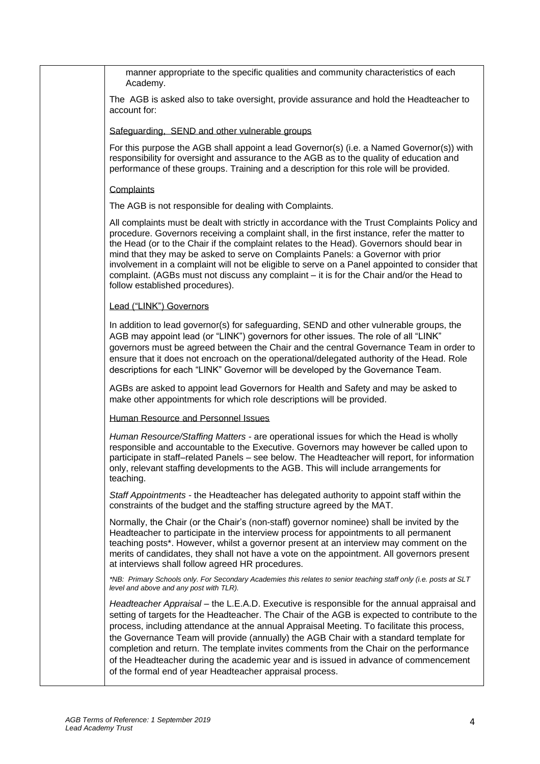manner appropriate to the specific qualities and community characteristics of each Academy.

The AGB is asked also to take oversight, provide assurance and hold the Headteacher to account for:

## Safeguarding, SEND and other vulnerable groups

For this purpose the AGB shall appoint a lead Governor(s) (i.e. a Named Governor(s)) with responsibility for oversight and assurance to the AGB as to the quality of education and performance of these groups. Training and a description for this role will be provided.

## **Complaints**

The AGB is not responsible for dealing with Complaints.

All complaints must be dealt with strictly in accordance with the Trust Complaints Policy and procedure. Governors receiving a complaint shall, in the first instance, refer the matter to the Head (or to the Chair if the complaint relates to the Head). Governors should bear in mind that they may be asked to serve on Complaints Panels: a Governor with prior involvement in a complaint will not be eligible to serve on a Panel appointed to consider that complaint. (AGBs must not discuss any complaint – it is for the Chair and/or the Head to follow established procedures).

## Lead ("LINK") Governors

In addition to lead governor(s) for safeguarding, SEND and other vulnerable groups, the AGB may appoint lead (or "LINK") governors for other issues. The role of all "LINK" governors must be agreed between the Chair and the central Governance Team in order to ensure that it does not encroach on the operational/delegated authority of the Head. Role descriptions for each "LINK" Governor will be developed by the Governance Team.

AGBs are asked to appoint lead Governors for Health and Safety and may be asked to make other appointments for which role descriptions will be provided.

Human Resource and Personnel Issues

*Human Resource/Staffing Matters* - are operational issues for which the Head is wholly responsible and accountable to the Executive. Governors may however be called upon to participate in staff–related Panels – see below. The Headteacher will report, for information only, relevant staffing developments to the AGB. This will include arrangements for teaching.

*Staff Appointments -* the Headteacher has delegated authority to appoint staff within the constraints of the budget and the staffing structure agreed by the MAT.

Normally, the Chair (or the Chair's (non-staff) governor nominee) shall be invited by the Headteacher to participate in the interview process for appointments to all permanent teaching posts\*. However, whilst a governor present at an interview may comment on the merits of candidates, they shall not have a vote on the appointment. All governors present at interviews shall follow agreed HR procedures.

*\*NB: Primary Schools only. For Secondary Academies this relates to senior teaching staff only (i.e. posts at SLT level and above and any post with TLR).* 

*Headteacher Appraisal –* the L.E.A.D. Executive is responsible for the annual appraisal and setting of targets for the Headteacher. The Chair of the AGB is expected to contribute to the process, including attendance at the annual Appraisal Meeting. To facilitate this process, the Governance Team will provide (annually) the AGB Chair with a standard template for completion and return. The template invites comments from the Chair on the performance of the Headteacher during the academic year and is issued in advance of commencement of the formal end of year Headteacher appraisal process.